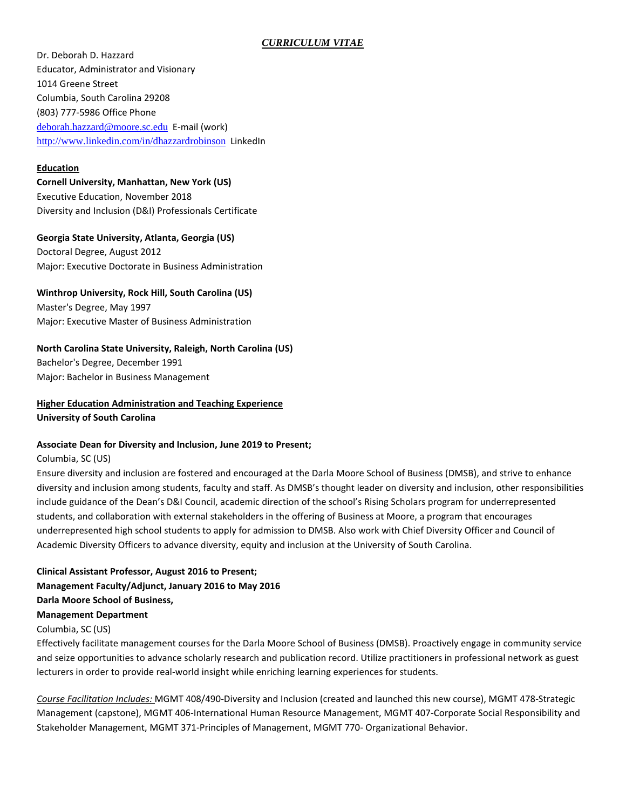## *CURRICULUM VITAE*

Dr. Deborah D. Hazzard Educator, Administrator and Visionary 1014 Greene Street Columbia, South Carolina 29208 (803) 777-5986 Office Phone [deborah.hazzard@moore.sc.edu](mailto:deborah.hazzard@moore.sc.edu) E-mail (work) <http://www.linkedin.com/in/dhazzardrobinson> LinkedIn

### **Education**

**Cornell University, Manhattan, New York (US)** Executive Education, November 2018 Diversity and Inclusion (D&I) Professionals Certificate

**Georgia State University, Atlanta, Georgia (US)** 

Doctoral Degree, August 2012 Major: Executive Doctorate in Business Administration

**Winthrop University, Rock Hill, South Carolina (US)** 

Master's Degree, May 1997 Major: Executive Master of Business Administration

## **North Carolina State University, Raleigh, North Carolina (US)**

Bachelor's Degree, December 1991 Major: Bachelor in Business Management

**Higher Education Administration and Teaching Experience University of South Carolina**

### **Associate Dean for Diversity and Inclusion, June 2019 to Present;**

Columbia, SC (US)

Ensure diversity and inclusion are fostered and encouraged at the Darla Moore School of Business (DMSB), and strive to enhance diversity and inclusion among students, faculty and staff. As DMSB's thought leader on diversity and inclusion, other responsibilities include guidance of the Dean's D&I Council, academic direction of the school's Rising Scholars program for underrepresented students, and collaboration with external stakeholders in the offering of Business at Moore, a program that encourages underrepresented high school students to apply for admission to DMSB. Also work with Chief Diversity Officer and Council of Academic Diversity Officers to advance diversity, equity and inclusion at the University of South Carolina.

**Clinical Assistant Professor, August 2016 to Present; Management Faculty/Adjunct, January 2016 to May 2016 Darla Moore School of Business,**

**Management Department**

Columbia, SC (US)

Effectively facilitate management courses for the Darla Moore School of Business (DMSB). Proactively engage in community service and seize opportunities to advance scholarly research and publication record. Utilize practitioners in professional network as guest lecturers in order to provide real-world insight while enriching learning experiences for students.

*Course Facilitation Includes:* MGMT 408/490-Diversity and Inclusion (created and launched this new course), MGMT 478-Strategic Management (capstone), MGMT 406-International Human Resource Management, MGMT 407-Corporate Social Responsibility and Stakeholder Management, MGMT 371-Principles of Management, MGMT 770- Organizational Behavior.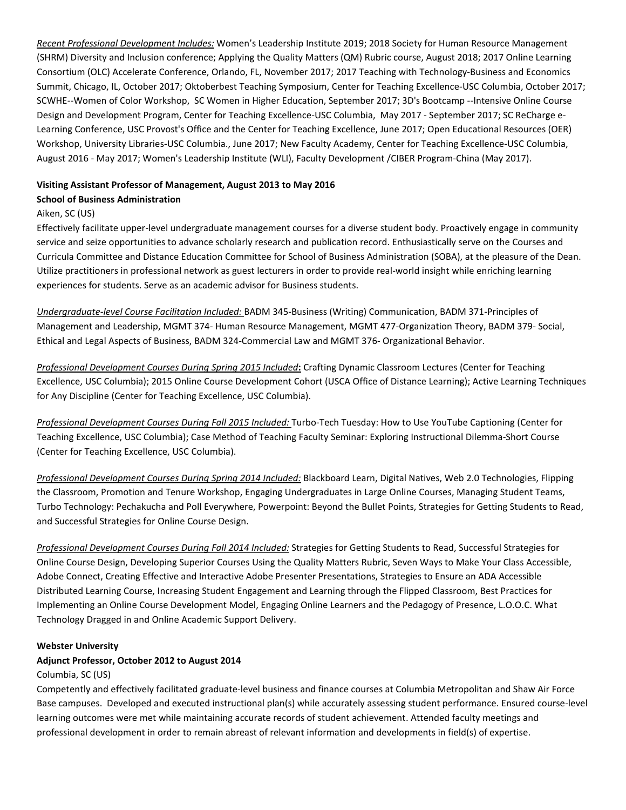*Recent Professional Development Includes:* Women's Leadership Institute 2019; 2018 Society for Human Resource Management (SHRM) Diversity and Inclusion conference; Applying the Quality Matters (QM) Rubric course, August 2018; 2017 Online Learning Consortium (OLC) Accelerate Conference, Orlando, FL, November 2017; 2017 Teaching with Technology-Business and Economics Summit, Chicago, IL, October 2017; Oktoberbest Teaching Symposium, Center for Teaching Excellence-USC Columbia, October 2017; SCWHE--Women of Color Workshop, SC Women in Higher Education, September 2017; 3D's Bootcamp --Intensive Online Course Design and Development Program, Center for Teaching Excellence-USC Columbia, May 2017 - September 2017; SC ReCharge e-Learning Conference, USC Provost's Office and the Center for Teaching Excellence, June 2017; Open Educational Resources (OER) Workshop, University Libraries-USC Columbia., June 2017; New Faculty Academy, Center for Teaching Excellence-USC Columbia, August 2016 - May 2017; Women's Leadership Institute (WLI), Faculty Development /CIBER Program-China (May 2017).

### **Visiting Assistant Professor of Management, August 2013 to May 2016**

#### **School of Business Administration**

## Aiken, SC (US)

Effectively facilitate upper-level undergraduate management courses for a diverse student body. Proactively engage in community service and seize opportunities to advance scholarly research and publication record. Enthusiastically serve on the Courses and Curricula Committee and Distance Education Committee for School of Business Administration (SOBA), at the pleasure of the Dean. Utilize practitioners in professional network as guest lecturers in order to provide real-world insight while enriching learning experiences for students. Serve as an academic advisor for Business students.

*Undergraduate-level Course Facilitation Included:* BADM 345-Business (Writing) Communication, BADM 371-Principles of Management and Leadership, MGMT 374- Human Resource Management, MGMT 477-Organization Theory, BADM 379- Social, Ethical and Legal Aspects of Business, BADM 324-Commercial Law and MGMT 376- Organizational Behavior.

*Professional Development Courses During Spring 2015 Included***:** Crafting Dynamic Classroom Lectures (Center for Teaching Excellence, USC Columbia); 2015 Online Course Development Cohort (USCA Office of Distance Learning); Active Learning Techniques for Any Discipline (Center for Teaching Excellence, USC Columbia).

*Professional Development Courses During Fall 2015 Included:* Turbo-Tech Tuesday: How to Use YouTube Captioning (Center for Teaching Excellence, USC Columbia); Case Method of Teaching Faculty Seminar: Exploring Instructional Dilemma-Short Course (Center for Teaching Excellence, USC Columbia).

*Professional Development Courses During Spring 2014 Included:* Blackboard Learn, Digital Natives, Web 2.0 Technologies, Flipping the Classroom, Promotion and Tenure Workshop, Engaging Undergraduates in Large Online Courses, Managing Student Teams, Turbo Technology: Pechakucha and Poll Everywhere, Powerpoint: Beyond the Bullet Points, Strategies for Getting Students to Read, and Successful Strategies for Online Course Design.

*Professional Development Courses During Fall 2014 Included:* Strategies for Getting Students to Read, Successful Strategies for Online Course Design, Developing Superior Courses Using the Quality Matters Rubric, Seven Ways to Make Your Class Accessible, Adobe Connect, Creating Effective and Interactive Adobe Presenter Presentations, Strategies to Ensure an ADA Accessible Distributed Learning Course, Increasing Student Engagement and Learning through the Flipped Classroom, Best Practices for Implementing an Online Course Development Model, Engaging Online Learners and the Pedagogy of Presence, L.O.O.C. What Technology Dragged in and Online Academic Support Delivery.

#### **Webster University**

## **Adjunct Professor, October 2012 to August 2014**

### Columbia, SC (US)

Competently and effectively facilitated graduate-level business and finance courses at Columbia Metropolitan and Shaw Air Force Base campuses. Developed and executed instructional plan(s) while accurately assessing student performance. Ensured course-level learning outcomes were met while maintaining accurate records of student achievement. Attended faculty meetings and professional development in order to remain abreast of relevant information and developments in field(s) of expertise.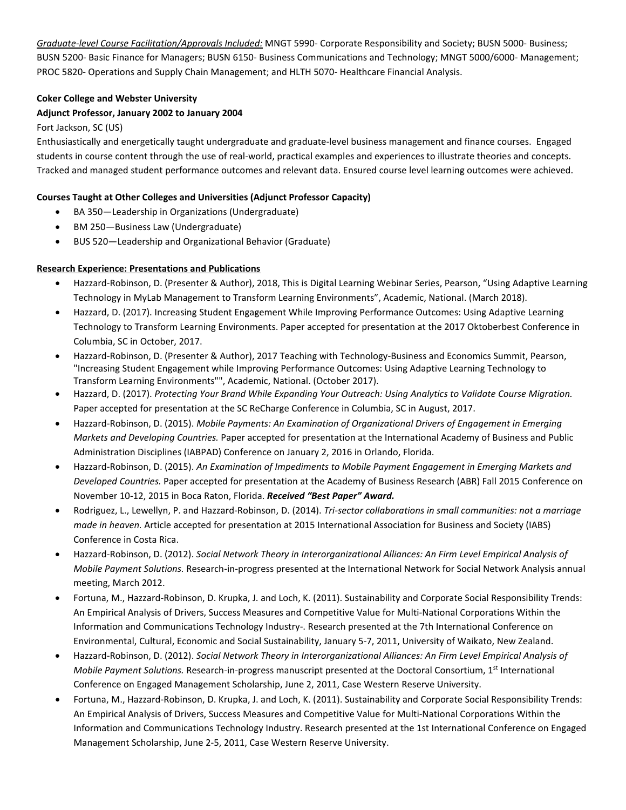*Graduate-level Course Facilitation/Approvals Included:* MNGT 5990- Corporate Responsibility and Society; BUSN 5000- Business; BUSN 5200- Basic Finance for Managers; BUSN 6150- Business Communications and Technology; MNGT 5000/6000- Management; PROC 5820- Operations and Supply Chain Management; and HLTH 5070- Healthcare Financial Analysis.

## **Coker College and Webster University**

## **Adjunct Professor, January 2002 to January 2004**

Fort Jackson, SC (US)

Enthusiastically and energetically taught undergraduate and graduate-level business management and finance courses. Engaged students in course content through the use of real-world, practical examples and experiences to illustrate theories and concepts. Tracked and managed student performance outcomes and relevant data. Ensured course level learning outcomes were achieved.

## **Courses Taught at Other Colleges and Universities (Adjunct Professor Capacity)**

- BA 350—Leadership in Organizations (Undergraduate)
- BM 250—Business Law (Undergraduate)
- BUS 520—Leadership and Organizational Behavior (Graduate)

## **Research Experience: Presentations and Publications**

- Hazzard-Robinson, D. (Presenter & Author), 2018, This is Digital Learning Webinar Series, Pearson, "Using Adaptive Learning Technology in MyLab Management to Transform Learning Environments", Academic, National. (March 2018).
- Hazzard, D. (2017). Increasing Student Engagement While Improving Performance Outcomes: Using Adaptive Learning Technology to Transform Learning Environments. Paper accepted for presentation at the 2017 Oktoberbest Conference in Columbia, SC in October, 2017.
- Hazzard-Robinson, D. (Presenter & Author), 2017 Teaching with Technology-Business and Economics Summit, Pearson, "Increasing Student Engagement while Improving Performance Outcomes: Using Adaptive Learning Technology to Transform Learning Environments"", Academic, National. (October 2017).
- Hazzard, D. (2017). *Protecting Your Brand While Expanding Your Outreach: Using Analytics to Validate Course Migration.*  Paper accepted for presentation at the SC ReCharge Conference in Columbia, SC in August, 2017.
- Hazzard-Robinson, D. (2015). *Mobile Payments: An Examination of Organizational Drivers of Engagement in Emerging Markets and Developing Countries.* Paper accepted for presentation at the International Academy of Business and Public Administration Disciplines (IABPAD) Conference on January 2, 2016 in Orlando, Florida.
- Hazzard-Robinson, D. (2015). *An Examination of Impediments to Mobile Payment Engagement in Emerging Markets and Developed Countries.* Paper accepted for presentation at the Academy of Business Research (ABR) Fall 2015 Conference on November 10-12, 2015 in Boca Raton, Florida. *Received "Best Paper" Award.*
- Rodriguez, L., Lewellyn, P. and Hazzard-Robinson, D. (2014). *Tri-sector collaborations in small communities: not a marriage made in heaven.* Article accepted for presentation at 2015 International Association for Business and Society (IABS) Conference in Costa Rica.
- Hazzard-Robinson, D. (2012). *Social Network Theory in Interorganizational Alliances: An Firm Level Empirical Analysis of Mobile Payment Solutions.* Research-in-progress presented at the International Network for Social Network Analysis annual meeting, March 2012.
- Fortuna, M., Hazzard-Robinson, D. Krupka, J. and Loch, K. (2011). Sustainability and Corporate Social Responsibility Trends: An Empirical Analysis of Drivers, Success Measures and Competitive Value for Multi-National Corporations Within the Information and Communications Technology Industry-. Research presented at the 7th International Conference on Environmental, Cultural, Economic and Social Sustainability, January 5-7, 2011, University of Waikato, New Zealand.
- Hazzard-Robinson, D. (2012). *Social Network Theory in Interorganizational Alliances: An Firm Level Empirical Analysis of Mobile Payment Solutions.* Research-in-progress manuscript presented at the Doctoral Consortium, 1<sup>st</sup> International Conference on Engaged Management Scholarship, June 2, 2011, Case Western Reserve University.
- Fortuna, M., Hazzard-Robinson, D. Krupka, J. and Loch, K. (2011). Sustainability and Corporate Social Responsibility Trends: An Empirical Analysis of Drivers, Success Measures and Competitive Value for Multi-National Corporations Within the Information and Communications Technology Industry. Research presented at the 1st International Conference on Engaged Management Scholarship, June 2-5, 2011, Case Western Reserve University.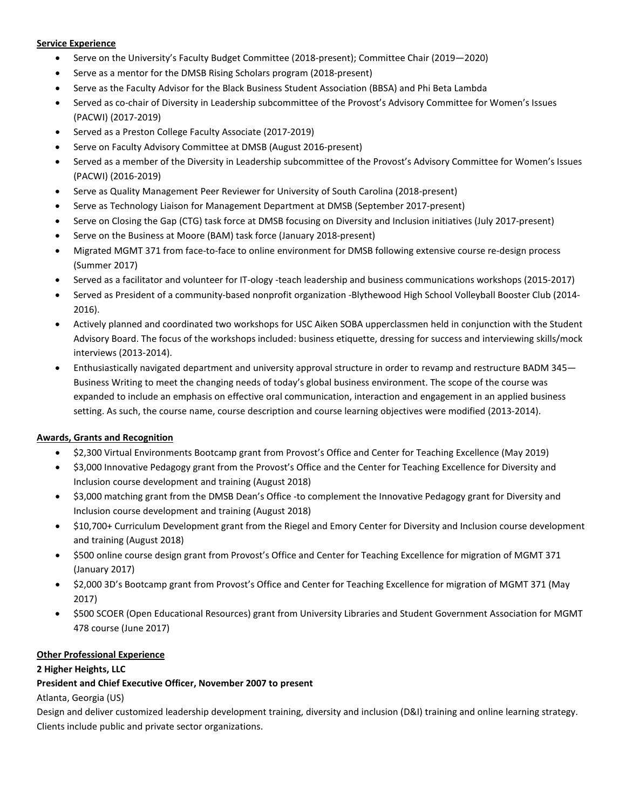### **Service Experience**

- Serve on the University's Faculty Budget Committee (2018-present); Committee Chair (2019—2020)
- Serve as a mentor for the DMSB Rising Scholars program (2018-present)
- Serve as the Faculty Advisor for the Black Business Student Association (BBSA) and Phi Beta Lambda
- Served as co-chair of Diversity in Leadership subcommittee of the Provost's Advisory Committee for Women's Issues (PACWI) (2017-2019)
- Served as a Preston College Faculty Associate (2017-2019)
- Serve on Faculty Advisory Committee at DMSB (August 2016-present)
- Served as a member of the Diversity in Leadership subcommittee of the Provost's Advisory Committee for Women's Issues (PACWI) (2016-2019)
- Serve as Quality Management Peer Reviewer for University of South Carolina (2018-present)
- Serve as Technology Liaison for Management Department at DMSB (September 2017-present)
- Serve on Closing the Gap (CTG) task force at DMSB focusing on Diversity and Inclusion initiatives (July 2017-present)
- Serve on the Business at Moore (BAM) task force (January 2018-present)
- Migrated MGMT 371 from face-to-face to online environment for DMSB following extensive course re-design process (Summer 2017)
- Served as a facilitator and volunteer for IT-ology -teach leadership and business communications workshops (2015-2017)
- Served as President of a community-based nonprofit organization -Blythewood High School Volleyball Booster Club (2014- 2016).
- Actively planned and coordinated two workshops for USC Aiken SOBA upperclassmen held in conjunction with the Student Advisory Board. The focus of the workshops included: business etiquette, dressing for success and interviewing skills/mock interviews (2013-2014).
- Enthusiastically navigated department and university approval structure in order to revamp and restructure BADM 345— Business Writing to meet the changing needs of today's global business environment. The scope of the course was expanded to include an emphasis on effective oral communication, interaction and engagement in an applied business setting. As such, the course name, course description and course learning objectives were modified (2013-2014).

### **Awards, Grants and Recognition**

- \$2,300 Virtual Environments Bootcamp grant from Provost's Office and Center for Teaching Excellence (May 2019)
- \$3,000 Innovative Pedagogy grant from the Provost's Office and the Center for Teaching Excellence for Diversity and Inclusion course development and training (August 2018)
- \$3,000 matching grant from the DMSB Dean's Office -to complement the Innovative Pedagogy grant for Diversity and Inclusion course development and training (August 2018)
- \$10,700+ Curriculum Development grant from the Riegel and Emory Center for Diversity and Inclusion course development and training (August 2018)
- \$500 online course design grant from Provost's Office and Center for Teaching Excellence for migration of MGMT 371 (January 2017)
- \$2,000 3D's Bootcamp grant from Provost's Office and Center for Teaching Excellence for migration of MGMT 371 (May 2017)
- \$500 SCOER (Open Educational Resources) grant from University Libraries and Student Government Association for MGMT 478 course (June 2017)

### **Other Professional Experience**

### **2 Higher Heights, LLC**

### **President and Chief Executive Officer, November 2007 to present**

Atlanta, Georgia (US)

Design and deliver customized leadership development training, diversity and inclusion (D&I) training and online learning strategy. Clients include public and private sector organizations.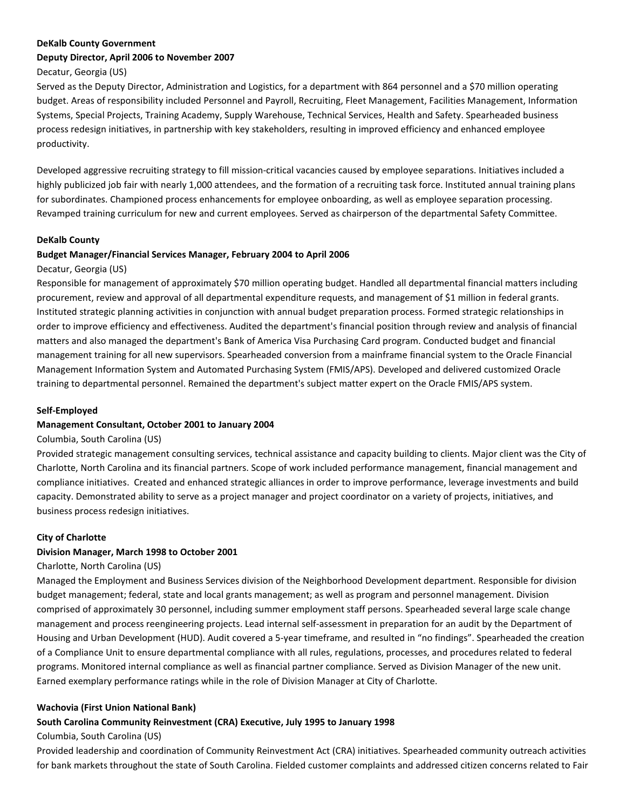#### **DeKalb County Government**

#### **Deputy Director, April 2006 to November 2007**

Decatur, Georgia (US)

Served as the Deputy Director, Administration and Logistics, for a department with 864 personnel and a \$70 million operating budget. Areas of responsibility included Personnel and Payroll, Recruiting, Fleet Management, Facilities Management, Information Systems, Special Projects, Training Academy, Supply Warehouse, Technical Services, Health and Safety. Spearheaded business process redesign initiatives, in partnership with key stakeholders, resulting in improved efficiency and enhanced employee productivity.

Developed aggressive recruiting strategy to fill mission-critical vacancies caused by employee separations. Initiatives included a highly publicized job fair with nearly 1,000 attendees, and the formation of a recruiting task force. Instituted annual training plans for subordinates. Championed process enhancements for employee onboarding, as well as employee separation processing. Revamped training curriculum for new and current employees. Served as chairperson of the departmental Safety Committee.

#### **DeKalb County**

#### **Budget Manager/Financial Services Manager, February 2004 to April 2006**

#### Decatur, Georgia (US)

Responsible for management of approximately \$70 million operating budget. Handled all departmental financial matters including procurement, review and approval of all departmental expenditure requests, and management of \$1 million in federal grants. Instituted strategic planning activities in conjunction with annual budget preparation process. Formed strategic relationships in order to improve efficiency and effectiveness. Audited the department's financial position through review and analysis of financial matters and also managed the department's Bank of America Visa Purchasing Card program. Conducted budget and financial management training for all new supervisors. Spearheaded conversion from a mainframe financial system to the Oracle Financial Management Information System and Automated Purchasing System (FMIS/APS). Developed and delivered customized Oracle training to departmental personnel. Remained the department's subject matter expert on the Oracle FMIS/APS system.

### **Self-Employed**

### **Management Consultant, October 2001 to January 2004**

#### Columbia, South Carolina (US)

Provided strategic management consulting services, technical assistance and capacity building to clients. Major client was the City of Charlotte, North Carolina and its financial partners. Scope of work included performance management, financial management and compliance initiatives. Created and enhanced strategic alliances in order to improve performance, leverage investments and build capacity. Demonstrated ability to serve as a project manager and project coordinator on a variety of projects, initiatives, and business process redesign initiatives.

### **City of Charlotte**

### **Division Manager, March 1998 to October 2001**

### Charlotte, North Carolina (US)

Managed the Employment and Business Services division of the Neighborhood Development department. Responsible for division budget management; federal, state and local grants management; as well as program and personnel management. Division comprised of approximately 30 personnel, including summer employment staff persons. Spearheaded several large scale change management and process reengineering projects. Lead internal self-assessment in preparation for an audit by the Department of Housing and Urban Development (HUD). Audit covered a 5-year timeframe, and resulted in "no findings". Spearheaded the creation of a Compliance Unit to ensure departmental compliance with all rules, regulations, processes, and procedures related to federal programs. Monitored internal compliance as well as financial partner compliance. Served as Division Manager of the new unit. Earned exemplary performance ratings while in the role of Division Manager at City of Charlotte.

#### **Wachovia (First Union National Bank)**

### **South Carolina Community Reinvestment (CRA) Executive, July 1995 to January 1998**

### Columbia, South Carolina (US)

Provided leadership and coordination of Community Reinvestment Act (CRA) initiatives. Spearheaded community outreach activities for bank markets throughout the state of South Carolina. Fielded customer complaints and addressed citizen concerns related to Fair